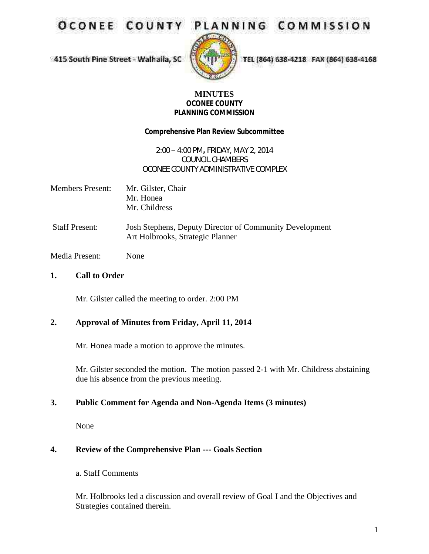**OCONEE COUNT** 

# PLANNING COMMISSION

415 South Pine Street - Walhaila, SC



TEL (864) 638-4218 FAX (864) 638-4168

### **MINUTES OCONEE COUNTY PLANNING COMMISSION**

**Comprehensive Plan Review Subcommittee**

### 2:00 – 4:00 PM**,** FRIDAY, MAY 2, 2014 COUNCIL CHAMBERS OCONEE COUNTY ADMINISTRATIVE COMPLEX

- Members Present: Mr. Gilster, Chair Mr. Honea Mr. Childress
- Staff Present: Josh Stephens, Deputy Director of Community Development Art Holbrooks, Strategic Planner

Media Present: None

**1. Call to Order**

Mr. Gilster called the meeting to order. 2:00 PM

### **2. Approval of Minutes from Friday, April 11, 2014**

Mr. Honea made a motion to approve the minutes.

Mr. Gilster seconded the motion. The motion passed 2-1 with Mr. Childress abstaining due his absence from the previous meeting.

# **3. Public Comment for Agenda and Non-Agenda Items (3 minutes)**

None

# **4. Review of the Comprehensive Plan --- Goals Section**

a. Staff Comments

Mr. Holbrooks led a discussion and overall review of Goal I and the Objectives and Strategies contained therein.